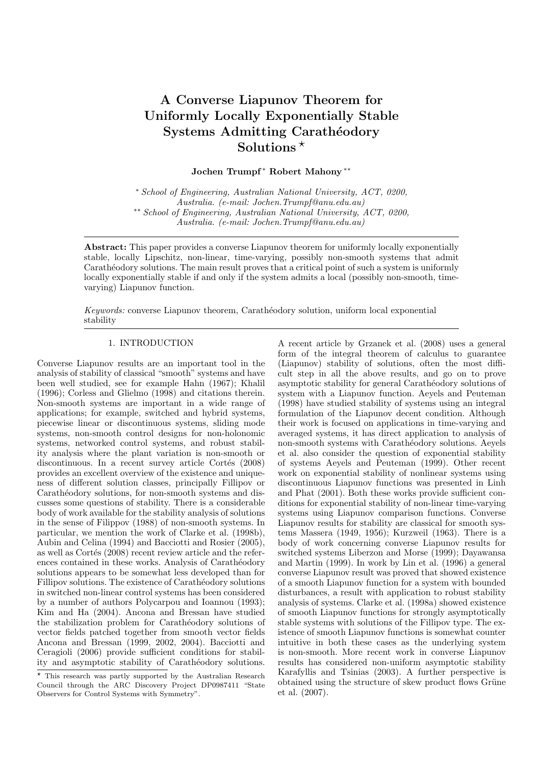# A Converse Liapunov Theorem for Uniformly Locally Exponentially Stable Systems Admitting Carathéodory Solutions  $*$

Jochen Trumpf <sup>∗</sup> Robert Mahony ∗∗

<sup>∗</sup> School of Engineering, Australian National University, ACT, 0200, Australia. (e-mail: Jochen.Trumpf@anu.edu.au) ∗∗ School of Engineering, Australian National University, ACT, 0200, Australia. (e-mail: Jochen.Trumpf@anu.edu.au)

Abstract: This paper provides a converse Liapunov theorem for uniformly locally exponentially stable, locally Lipschitz, non-linear, time-varying, possibly non-smooth systems that admit Carathéodory solutions. The main result proves that a critical point of such a system is uniformly locally exponentially stable if and only if the system admits a local (possibly non-smooth, timevarying) Liapunov function.

Keywords: converse Liapunov theorem, Carath´eodory solution, uniform local exponential stability

# 1. INTRODUCTION

Converse Liapunov results are an important tool in the analysis of stability of classical "smooth" systems and have been well studied, see for example Hahn (1967); Khalil (1996); Corless and Glielmo (1998) and citations therein. Non-smooth systems are important in a wide range of applications; for example, switched and hybrid systems, piecewise linear or discontinuous systems, sliding mode systems, non-smooth control designs for non-holonomic systems, networked control systems, and robust stability analysis where the plant variation is non-smooth or discontinuous. In a recent survey article Cortés (2008) provides an excellent overview of the existence and uniqueness of different solution classes, principally Fillipov or Carathéodory solutions, for non-smooth systems and discusses some questions of stability. There is a considerable body of work available for the stability analysis of solutions in the sense of Filippov (1988) of non-smooth systems. In particular, we mention the work of Clarke et al. (1998b), Aubin and Celina (1994) and Bacciotti and Rosier (2005), as well as Cortés (2008) recent review article and the references contained in these works. Analysis of Carathéodory solutions appears to be somewhat less developed than for Fillipov solutions. The existence of Carathéodory solutions in switched non-linear control systems has been considered by a number of authors Polycarpou and Ioannou (1993); Kim and Ha (2004). Ancona and Bressan have studied the stabilization problem for Carathéodory solutions of vector fields patched together from smooth vector fields Ancona and Bressan (1999, 2002, 2004). Bacciotti and Ceragioli (2006) provide sufficient conditions for stability and asymptotic stability of Carathéodory solutions.

A recent article by Grzanek et al. (2008) uses a general form of the integral theorem of calculus to guarantee (Liapunov) stability of solutions, often the most difficult step in all the above results, and go on to prove asymptotic stability for general Carathéodory solutions of system with a Liapunov function. Aeyels and Peuteman (1998) have studied stability of systems using an integral formulation of the Liapunov decent condition. Although their work is focused on applications in time-varying and averaged systems, it has direct application to analysis of non-smooth systems with Carathéodory solutions. Aeyels et al. also consider the question of exponential stability of systems Aeyels and Peuteman (1999). Other recent work on exponential stability of nonlinear systems using discontinuous Liapunov functions was presented in Linh and Phat (2001). Both these works provide sufficient conditions for exponential stability of non-linear time-varying systems using Liapunov comparison functions. Converse Liapunov results for stability are classical for smooth systems Massera (1949, 1956); Kurzweil (1963). There is a body of work concerning converse Liapunov results for switched systems Liberzon and Morse (1999); Dayawansa and Martin (1999). In work by Lin et al. (1996) a general converse Liapunov result was proved that showed existence of a smooth Liapunov function for a system with bounded disturbances, a result with application to robust stability analysis of systems. Clarke et al. (1998a) showed existence of smooth Liapunov functions for strongly asymptotically stable systems with solutions of the Fillipov type. The existence of smooth Liapunov functions is somewhat counter intuitive in both these cases as the underlying system is non-smooth. More recent work in converse Liapunov results has considered non-uniform asymptotic stability Karafyllis and Tsinias (2003). A further perspective is obtained using the structure of skew product flows Grüne et al. (2007).

<sup>?</sup> This research was partly supported by the Australian Research Council through the ARC Discovery Project DP0987411 "State Observers for Control Systems with Symmetry".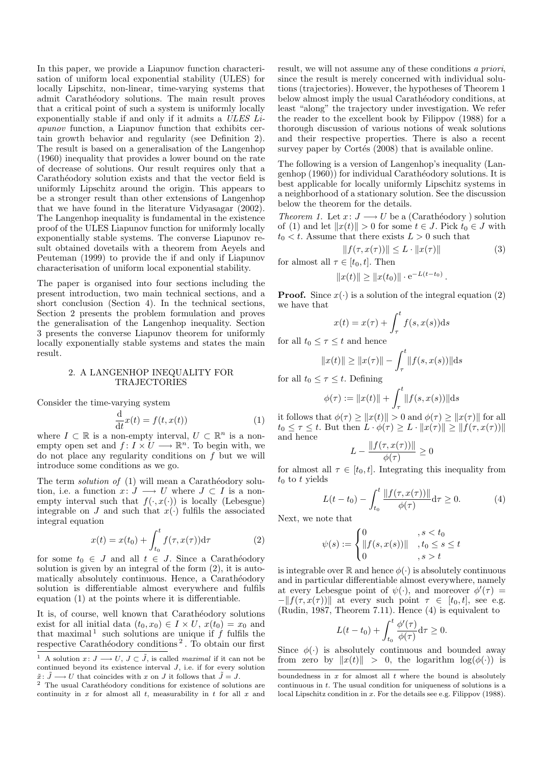In this paper, we provide a Liapunov function characterisation of uniform local exponential stability (ULES) for locally Lipschitz, non-linear, time-varying systems that admit Carathéodory solutions. The main result proves that a critical point of such a system is uniformly locally exponentially stable if and only if it admits a ULES Liapunov function, a Liapunov function that exhibits certain growth behavior and regularity (see Definition 2). The result is based on a generalisation of the Langenhop (1960) inequality that provides a lower bound on the rate of decrease of solutions. Our result requires only that a Carathéodory solution exists and that the vector field is uniformly Lipschitz around the origin. This appears to be a stronger result than other extensions of Langenhop that we have found in the literature Vidyasagar (2002). The Langenhop inequality is fundamental in the existence proof of the ULES Liapunov function for uniformly locally exponentially stable systems. The converse Liapunov result obtained dovetails with a theorem from Aeyels and Peuteman (1999) to provide the if and only if Liapunov characterisation of uniform local exponential stability.

The paper is organised into four sections including the present introduction, two main technical sections, and a short conclusion (Section 4). In the technical sections, Section 2 presents the problem formulation and proves the generalisation of the Langenhop inequality. Section 3 presents the converse Liapunov theorem for uniformly locally exponentially stable systems and states the main result.

## 2. A LANGENHOP INEQUALITY FOR TRAJECTORIES

Consider the time-varying system

$$
\frac{\mathrm{d}}{\mathrm{d}t}x(t) = f(t, x(t))\tag{1}
$$

where  $I \subset \mathbb{R}$  is a non-empty interval,  $U \subset \mathbb{R}^n$  is a nonempty open set and  $f: I \times U \longrightarrow \mathbb{R}^n$ . To begin with, we do not place any regularity conditions on f but we will introduce some conditions as we go.

The term *solution of*  $(1)$  will mean a Carathéodory solution, i.e. a function  $x: J \longrightarrow U$  where  $J \subset I$  is a nonempty interval such that  $f(\cdot, x(\cdot))$  is locally (Lebesgue) integrable on J and such that  $x(\cdot)$  fulfils the associated integral equation

$$
x(t) = x(t_0) + \int_{t_0}^{t} f(\tau, x(\tau)) d\tau
$$
 (2)

for some  $t_0 \in J$  and all  $t \in J$ . Since a Carathéodory solution is given by an integral of the form (2), it is automatically absolutely continuous. Hence, a Carathéodory solution is differentiable almost everywhere and fulfils equation (1) at the points where it is differentiable.

It is, of course, well known that Carathéodory solutions exist for all initial data  $(t_0, x_0) \in I \times U$ ,  $x(t_0) = x_0$  and that maximal<sup>1</sup> such solutions are unique if  $f$  fulfils the respective Carathéodory conditions<sup>2</sup>. To obtain our first

result, we will not assume any of these conditions a priori, since the result is merely concerned with individual solutions (trajectories). However, the hypotheses of Theorem 1 below almost imply the usual Carathéodory conditions, at least "along" the trajectory under investigation. We refer the reader to the excellent book by Filippov (1988) for a thorough discussion of various notions of weak solutions and their respective properties. There is also a recent survey paper by Cortés  $(2008)$  that is available online.

The following is a version of Langenhop's inequality (Langenhop (1960)) for individual Carathéodory solutions. It is best applicable for locally uniformly Lipschitz systems in a neighborhood of a stationary solution. See the discussion below the theorem for the details.

Theorem 1. Let  $x: J \longrightarrow U$  be a (Carathéodory) solution of (1) and let  $||x(t)|| > 0$  for some  $t \in J$ . Pick  $t_0 \in J$  with  $t_0 < t$ . Assume that there exists  $L > 0$  such that

$$
||f(\tau, x(\tau))|| \le L \cdot ||x(\tau)|| \tag{3}
$$

for almost all  $\tau \in [t_0, t]$ . Then

$$
||x(t)|| \ge ||x(t_0)|| \cdot e^{-L(t-t_0)}.
$$

**Proof.** Since  $x(\cdot)$  is a solution of the integral equation (2) we have that

$$
x(t) = x(\tau) + \int_{\tau}^{t} f(s, x(s)) \mathrm{d}s
$$

for all  $t_0 \leq \tau \leq t$  and hence

$$
||x(t)|| \ge ||x(\tau)|| - \int_{\tau}^{t} ||f(s, x(s))|| ds
$$

for all  $t_0 \leq \tau \leq t$ . Defining

$$
\phi(\tau) := \|x(t)\| + \int_{\tau}^{t} \|f(s, x(s))\| ds
$$

it follows that  $\phi(\tau) \ge ||x(t)|| > 0$  and  $\phi(\tau) \ge ||x(\tau)||$  for all  $t_0 \leq \tau \leq t$ . But then  $L \cdot \phi(\tau) \geq L \cdot ||x(\tau)|| \geq ||f(\tau, x(\tau))||$ and hence

$$
L - \frac{\|f(\tau, x(\tau))\|}{\phi(\tau)} \ge 0
$$

for almost all  $\tau \in [t_0, t]$ . Integrating this inequality from  $t_0$  to t yields

$$
L(t - t_0) - \int_{t_0}^t \frac{\|f(\tau, x(\tau))\|}{\phi(\tau)} d\tau \ge 0.
$$
 (4)

Next, we note that

$$
\psi(s) := \begin{cases} 0 & , s < t_0 \\ \|f(s, x(s))\| & , t_0 \le s \le t \\ 0 & , s > t \end{cases}
$$

is integrable over  $\mathbb R$  and hence  $\phi(\cdot)$  is absolutely continuous and in particular differentiable almost everywhere, namely at every Lebesgue point of  $\psi(\cdot)$ , and moreover  $\phi'(\tau)$  =  $-\|f(\tau, x(\tau))\|$  at every such point  $\tau \in [t_0, t]$ , see e.g. (Rudin, 1987, Theorem 7.11). Hence (4) is equivalent to

$$
L(t-t_0) + \int_{t_0}^t \frac{\phi'(\tau)}{\phi(\tau)} d\tau \ge 0.
$$

Since  $\phi(\cdot)$  is absolutely continuous and bounded away from zero by  $||x(t)|| > 0$ , the logarithm  $log(\phi(\cdot))$  is

<sup>&</sup>lt;sup>1</sup> A solution  $x: J \longrightarrow U, J \subset \tilde{J}$ , is called maximal if it can not be continued beyond its existence interval  $J$ , i.e. if for every solution  $\tilde{x}$ :  $\tilde{J} \longrightarrow U$  that coincides with x on J it follows that  $\tilde{J} = J$ .

 $^{\rm 2}$  The usual Carathéodory conditions for existence of solutions are continuity in  $x$  for almost all  $t$ , measurability in  $t$  for all  $x$  and

boundedness in  $x$  for almost all  $t$  where the bound is absolutely continuous in t. The usual condition for uniqueness of solutions is a local Lipschitz condition in x. For the details see e.g. Filippov (1988).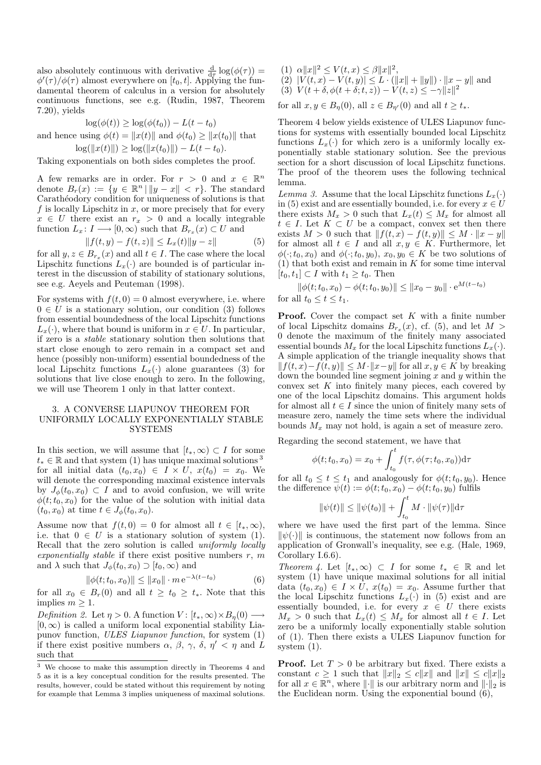also absolutely continuous with derivative  $\frac{d}{d\tau} \log(\phi(\tau)) =$  $\phi'(\tau)/\phi(\tau)$  almost everywhere on [t<sub>0</sub>, t]. Applying the fundamental theorem of calculus in a version for absolutely continuous functions, see e.g. (Rudin, 1987, Theorem 7.20), yields

$$
\log(\phi(t)) \ge \log(\phi(t_0)) - L(t - t_0)
$$
  
and hence using  $\phi(t) = ||x(t)||$  and  $\phi(t_0) \ge ||x(t_0)||$  that

 $\log(\|x(t)\|) \geq \log(\|x(t_0)\|) - L(t - t_0).$ 

Taking exponentials on both sides completes the proof.

A few remarks are in order. For  $r > 0$  and  $x \in \mathbb{R}^n$ denote  $B_r(x) := \{y \in \mathbb{R}^n \mid ||y - x|| < r\}$ . The standard Carathéodory condition for uniqueness of solutions is that f is locally Lipschitz in  $x$ , or more precisely that for every  $x \in U$  there exist an  $r_x > 0$  and a locally integrable function  $L_x: I \longrightarrow [0, \infty)$  such that  $B_{r_x}(x) \subset U$  and

$$
||f(t, y) - f(t, z)|| \le L_x(t) ||y - z|| \tag{5}
$$

for all  $y, z \in B_{r_x}(x)$  and all  $t \in I$ . The case where the local Lipschitz functions  $L_x(\cdot)$  are bounded is of particular interest in the discussion of stability of stationary solutions, see e.g. Aeyels and Peuteman (1998).

For systems with  $f(t, 0) = 0$  almost everywhere, i.e. where  $0 \in U$  is a stationary solution, our condition (3) follows from essential boundedness of the local Lipschitz functions  $L_x(\cdot)$ , where that bound is uniform in  $x \in U$ . In particular, if zero is a stable stationary solution then solutions that start close enough to zero remain in a compact set and hence (possibly non-uniform) essential boundedness of the local Lipschitz functions  $L<sub>x</sub>(.)$  alone guarantees (3) for solutions that live close enough to zero. In the following, we will use Theorem 1 only in that latter context.

### 3. A CONVERSE LIAPUNOV THEOREM FOR UNIFORMLY LOCALLY EXPONENTIALLY STABLE SYSTEMS

In this section, we will assume that  $[t_*,\infty) \subset I$  for some  $t_* \in \mathbb{R}$  and that system (1) has unique maximal solutions <sup>3</sup> for all initial data  $(t_0, x_0) \in I \times U$ ,  $x(t_0) = x_0$ . We will denote the corresponding maximal existence intervals by  $J_{\phi}(t_0, x_0) \subset I$  and to avoid confusion, we will write  $\phi(t; t_0, x_0)$  for the value of the solution with initial data  $(t_0, x_0)$  at time  $t \in J_{\phi}(t_0, x_0)$ .

Assume now that  $f(t, 0) = 0$  for almost all  $t \in [t_*, \infty)$ , i.e. that  $0 \in U$  is a stationary solution of system (1). Recall that the zero solution is called uniformly locally exponentially stable if there exist positive numbers  $r, m$ and  $\lambda$  such that  $J_{\phi}(t_0, x_0) \supset [t_0, \infty)$  and

$$
\|\phi(t; t_0, x_0)\| \le \|x_0\| \cdot m \,\mathrm{e}^{-\lambda(t - t_0)}\tag{6}
$$

for all  $x_0 \in B_r(0)$  and all  $t \geq t_0 \geq t_*$ . Note that this implies  $m \geq 1$ .

Definition 2. Let  $\eta > 0$ . A function  $V : [t_*, \infty) \times B_n(0) \longrightarrow$  $[0, \infty)$  is called a uniform local exponential stability Liapunov function, ULES Liapunov function, for system (1) if there exist positive numbers  $\alpha$ ,  $\beta$ ,  $\gamma$ ,  $\delta$ ,  $\eta' < \eta$  and  $\tilde{L}$ such that

- (1)  $\alpha ||x||^2 \le V(t, x) \le \beta ||x||^2$ ,
- (2)  $|V(t, x) V(t, y)| \leq L \cdot (||x|| + ||y||) \cdot ||x y||$  and (3)  $V(t + \delta, \phi(t + \delta; t, z)) - V(t, z) \leq -\gamma ||z||^2$

for all  $x, y \in B_n(0)$ , all  $z \in B_{n'}(0)$  and all  $t \ge t_*$ .

Theorem 4 below yields existence of ULES Liapunov functions for systems with essentially bounded local Lipschitz functions  $L<sub>x</sub>(.)$  for which zero is a uniformly locally exponentially stable stationary solution. See the previous section for a short discussion of local Lipschitz functions. The proof of the theorem uses the following technical lemma.

Lemma 3. Assume that the local Lipschitz functions  $L_x(\cdot)$ in (5) exist and are essentially bounded, i.e. for every  $x \in U$ there exists  $M_x > 0$  such that  $L_x(t) \leq M_x$  for almost all  $t \in I$ . Let  $K \subset U$  be a compact, convex set then there exists  $M > 0$  such that  $|| f(t, x) - f(t, y)|| \leq M \cdot ||x - y||$ for almost all  $t \in I$  and all  $x, y \in K$ . Furthermore, let  $\phi(\cdot; t_0, x_0)$  and  $\phi(\cdot; t_0, y_0), x_0, y_0 \in K$  be two solutions of  $(1)$  that both exist and remain in K for some time interval  $[t_0, t_1] \subset I$  with  $t_1 \geq t_0$ . Then

 $\|\phi(t; t_0, x_0) - \phi(t; t_0, y_0)\| \leq \|x_0 - y_0\| \cdot e^{M(t-t_0)}$ for all  $t_0 \leq t \leq t_1$ .

**Proof.** Cover the compact set  $K$  with a finite number of local Lipschitz domains  $B_{r_x}(x)$ , cf. (5), and let  $M >$ 0 denote the maximum of the finitely many associated essential bounds  $M_x$  for the local Lipschitz functions  $L_x(\cdot)$ . A simple application of the triangle inequality shows that  $|| f(t, x) - f(t, y)|| \leq M \cdot ||x - y||$  for all  $x, y \in K$  by breaking down the bounded line segment joining  $x$  and  $y$  within the convex set  $K$  into finitely many pieces, each covered by one of the local Lipschitz domains. This argument holds for almost all  $t \in I$  since the union of finitely many sets of measure zero, namely the time sets where the individual bounds  $M_x$  may not hold, is again a set of measure zero.

Regarding the second statement, we have that

$$
\phi(t; t_0, x_0) = x_0 + \int_{t_0}^t f(\tau, \phi(\tau; t_0, x_0)) \mathrm{d}\tau
$$

for all  $t_0 \leq t \leq t_1$  and analogously for  $\phi(t; t_0, y_0)$ . Hence the difference  $\psi(t) := \phi(t;t_0,x_0) - \phi(t;t_0,y_0)$  fulfils

$$
\|\psi(t)\| \le \|\psi(t_0)\| + \int_{t_0}^t M \cdot \|\psi(\tau)\| \mathrm{d}\tau
$$

where we have used the first part of the lemma. Since  $\|\psi(\cdot)\|$  is continuous, the statement now follows from an application of Gronwall's inequality, see e.g. (Hale, 1969, Corollary I.6.6).

Theorem 4. Let  $[t_*,\infty) \subset I$  for some  $t_* \in \mathbb{R}$  and let system (1) have unique maximal solutions for all initial data  $(t_0, x_0) \in I \times U$ ,  $x(t_0) = x_0$ . Assume further that the local Lipschitz functions  $L_x(\cdot)$  in (5) exist and are essentially bounded, i.e. for every  $x \in U$  there exists  $M_x > 0$  such that  $L_x(t) \leq M_x$  for almost all  $t \in I$ . Let zero be a uniformly locally exponentially stable solution of (1). Then there exists a ULES Liapunov function for system (1).

**Proof.** Let  $T > 0$  be arbitrary but fixed. There exists a constant  $c \geq 1$  such that  $||x||_2 \leq c||x||$  and  $||x|| \leq c||x||_2$ for all  $x \in \mathbb{R}^n$ , where  $\|\cdot\|$  is our arbitrary norm and  $\|\cdot\|_2$  is the Euclidean norm. Using the exponential bound (6),

<sup>3</sup> We choose to make this assumption directly in Theorems 4 and 5 as it is a key conceptual condition for the results presented. The results, however, could be stated without this requirement by noting for example that Lemma 3 implies uniqueness of maximal solutions.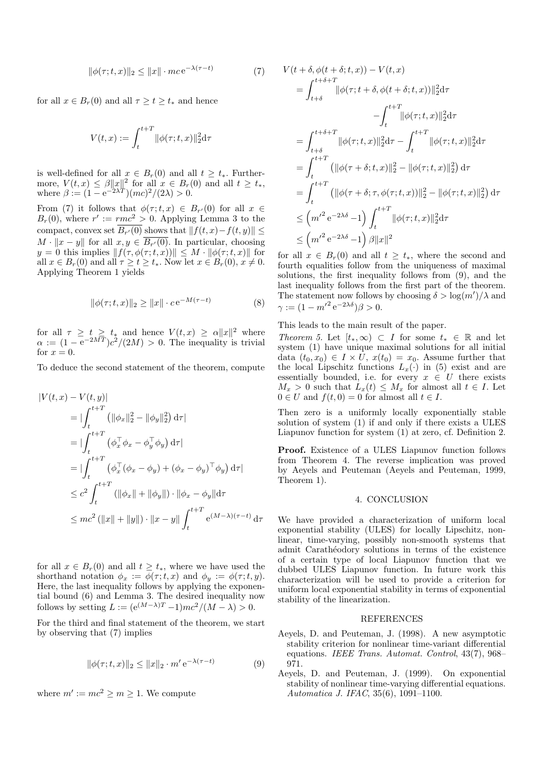$$
\|\phi(\tau;t,x)\|_2 \le \|x\| \cdot mc \,\mathrm{e}^{-\lambda(\tau-t)}\tag{7}
$$

for all  $x \in B_r(0)$  and all  $\tau \geq t \geq t_*$  and hence

$$
V(t,x) := \int_{t}^{t+T} \|\phi(\tau;t,x)\|_2^2 \mathrm{d}\tau
$$

is well-defined for all  $x \in B_r(0)$  and all  $t \geq t_*$ . Furthermore,  $V(t, x) \leq \beta ||x||^2$  for all  $x \in B_r(0)$  and all  $t \geq t_*,$ where  $\beta := (1 - e^{-2\lambda T})(mc)^2/(2\lambda) > 0$ .

From (7) it follows that  $\phi(\tau;t,x) \in B_{r'}(0)$  for all  $x \in$  $B_r(0)$ , where  $r' := rmc^2 > 0$ . Applying Lemma 3 to the compact, convex set  $B_{r'}(0)$  shows that  $|| f(t, x)-f(t, y)|| \le$  $M \cdot ||x - y||$  for all  $x, y \in B_{r'}(0)$ . In particular, choosing  $y = 0$  this implies  $|| f(\tau, \phi(\tau; t, x)) || \leq M \cdot ||\phi(\tau; t, x)||$  for all  $x \in B_r(0)$  and all  $\tau \ge t \ge t_*$ . Now let  $x \in B_r(0), x \ne 0$ . Applying Theorem 1 yields

$$
\|\phi(\tau; t, x)\|_2 \ge \|x\| \cdot c e^{-M(\tau - t)} \tag{8}
$$

for all  $\tau \geq t \geq t_*$  and hence  $V(t,x) \geq \alpha ||x||^2$  where  $\alpha := (1 - e^{-2MT})c^2/(2M) > 0$ . The inequality is trivial for  $x = 0$ .

To deduce the second statement of the theorem, compute

$$
|V(t, x) - V(t, y)|
$$
  
\n
$$
= |\int_{t}^{t+T} (||\phi_{x}||_{2}^{2} - ||\phi_{y}||_{2}^{2}) d\tau|
$$
  
\n
$$
= |\int_{t}^{t+T} (\phi_{x}^{\top} \phi_{x} - \phi_{y}^{\top} \phi_{y}) d\tau|
$$
  
\n
$$
= |\int_{t}^{t+T} (\phi_{x}^{\top} (\phi_{x} - \phi_{y}) + (\phi_{x} - \phi_{y})^{\top} \phi_{y}) d\tau|
$$
  
\n
$$
\leq c^{2} \int_{t}^{t+T} (||\phi_{x}|| + ||\phi_{y}||) \cdot ||\phi_{x} - \phi_{y}|| d\tau
$$
  
\n
$$
\leq mc^{2} (||x|| + ||y||) \cdot ||x - y|| \int_{t}^{t+T} e^{(M-\lambda)(\tau - t)} d\tau
$$

for all  $x \in B_r(0)$  and all  $t \geq t_*$ , where we have used the shorthand notation  $\phi_x := \phi(\tau; t, x)$  and  $\phi_y := \phi(\tau; t, y)$ . Here, the last inequality follows by applying the exponential bound (6) and Lemma 3. The desired inequality now follows by setting  $L := (e^{(M-\lambda)T}-1)mc^2/(M-\lambda) > 0$ .

For the third and final statement of the theorem, we start by observing that (7) implies

$$
\|\phi(\tau;t,x)\|_2 \le \|x\|_2 \cdot m' e^{-\lambda(\tau-t)} \tag{9}
$$

where  $m' := mc^2 \ge m \ge 1$ . We compute

$$
V(t + \delta, \phi(t + \delta; t, x)) - V(t, x)
$$
  
=  $\int_{t+\delta}^{t+\delta+T} ||\phi(\tau; t + \delta, \phi(t + \delta; t, x))||_2^2 d\tau$   
 $- \int_{t}^{t+T} ||\phi(\tau; t, x)||_2^2 d\tau$   
=  $\int_{t+\delta}^{t+\delta+T} ||\phi(\tau; t, x)||_2^2 d\tau - \int_{t}^{t+T} ||\phi(\tau; t, x)||_2^2 d\tau$   
=  $\int_{t}^{t+T} (||\phi(\tau + \delta; t, x)||_2^2 - ||\phi(\tau; t, x)||_2^2) d\tau$   
=  $\int_{t}^{t+T} (||\phi(\tau + \delta; \tau, \phi(\tau; t, x))||_2^2 - ||\phi(\tau; t, x)||_2^2) d\tau$   
 $\leq (m'^2 e^{-2\lambda \delta} - 1) \int_{t}^{t+T} ||\phi(\tau; t, x)||_2^2 d\tau$   
 $\leq (m'^2 e^{-2\lambda \delta} - 1) \beta ||x||^2$ 

for all  $x \in B_r(0)$  and all  $t \geq t_*$ , where the second and fourth equalities follow from the uniqueness of maximal solutions, the first inequality follows from (9), and the last inequality follows from the first part of the theorem. The statement now follows by choosing  $\delta > \log(m')/\lambda$  and  $\gamma := (1 - m'^2 e^{-2\lambda \delta}) \beta > 0.$ 

This leads to the main result of the paper.

Theorem 5. Let  $[t_*,\infty) \subset I$  for some  $t_* \in \mathbb{R}$  and let system (1) have unique maximal solutions for all initial data  $(t_0, x_0) \in I \times U$ ,  $x(t_0) = x_0$ . Assume further that the local Lipschitz functions  $L_x(\cdot)$  in (5) exist and are essentially bounded, i.e. for every  $x \in U$  there exists  $M_x > 0$  such that  $L_x(t) \leq M_x$  for almost all  $t \in I$ . Let  $0 \in U$  and  $f(t, 0) = 0$  for almost all  $t \in I$ .

Then zero is a uniformly locally exponentially stable solution of system (1) if and only if there exists a ULES Liapunov function for system (1) at zero, cf. Definition 2.

Proof. Existence of a ULES Liapunov function follows from Theorem 4. The reverse implication was proved by Aeyels and Peuteman (Aeyels and Peuteman, 1999, Theorem 1).

#### 4. CONCLUSION

We have provided a characterization of uniform local exponential stability (ULES) for locally Lipschitz, nonlinear, time-varying, possibly non-smooth systems that admit Carathéodory solutions in terms of the existence of a certain type of local Liapunov function that we dubbed ULES Liapunov function. In future work this characterization will be used to provide a criterion for uniform local exponential stability in terms of exponential stability of the linearization.

#### REFERENCES

- Aeyels, D. and Peuteman, J. (1998). A new asymptotic stability criterion for nonlinear time-variant differential equations. IEEE Trans. Automat. Control, 43(7), 968– 971.
- Aeyels, D. and Peuteman, J. (1999). On exponential stability of nonlinear time-varying differential equations. Automatica J. IFAC, 35(6), 1091–1100.